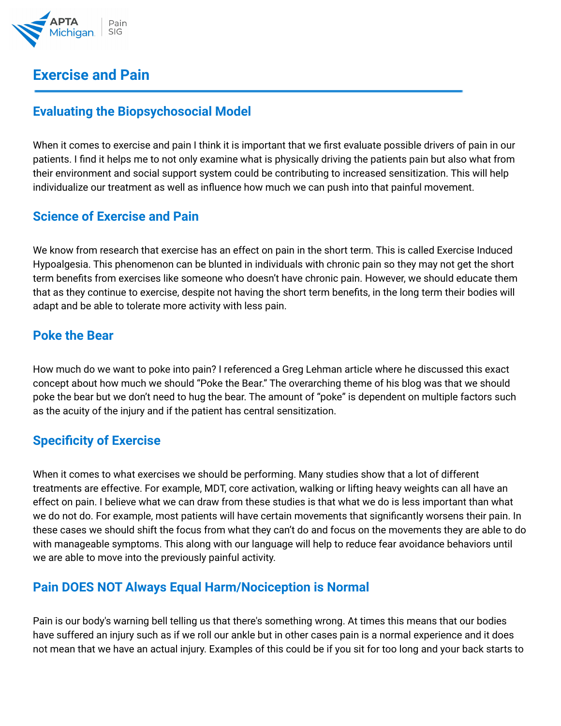

# **Exercise and Pain**

## **Evaluating the Biopsychosocial Model**

When it comes to exercise and pain I think it is important that we first evaluate possible drivers of pain in our patients. I find it helps me to not only examine what is physically driving the patients pain but also what from their environment and social support system could be contributing to increased sensitization. This will help individualize our treatment as well as influence how much we can push into that painful movement.

### **Science of Exercise and Pain**

We know from research that exercise has an effect on pain in the short term. This is called Exercise Induced Hypoalgesia. This phenomenon can be blunted in individuals with chronic pain so they may not get the short term benefits from exercises like someone who doesn't have chronic pain. However, we should educate them that as they continue to exercise, despite not having the short term benefits, in the long term their bodies will adapt and be able to tolerate more activity with less pain.

#### **Poke the Bear**

How much do we want to poke into pain? I referenced a Greg Lehman article where he discussed this exact concept about how much we should "Poke the Bear." The overarching theme of his blog was that we should poke the bear but we don't need to hug the bear. The amount of "poke" is dependent on multiple factors such as the acuity of the injury and if the patient has central sensitization.

#### **Specificity of Exercise**

When it comes to what exercises we should be performing. Many studies show that a lot of different treatments are effective. For example, MDT, core activation, walking or lifting heavy weights can all have an effect on pain. I believe what we can draw from these studies is that what we do is less important than what we do not do. For example, most patients will have certain movements that significantly worsens their pain. In these cases we should shift the focus from what they can't do and focus on the movements they are able to do with manageable symptoms. This along with our language will help to reduce fear avoidance behaviors until we are able to move into the previously painful activity.

#### **Pain DOES NOT Always Equal Harm/Nociception is Normal**

Pain is our body's warning bell telling us that there's something wrong. At times this means that our bodies have suffered an injury such as if we roll our ankle but in other cases pain is a normal experience and it does not mean that we have an actual injury. Examples of this could be if you sit for too long and your back starts to